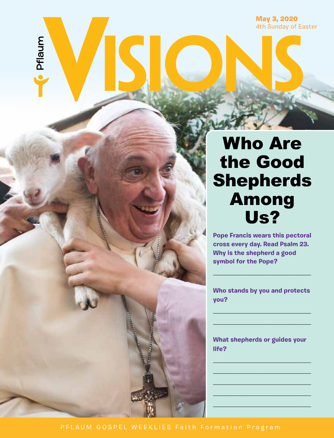May 3, 2020 4th Sunday of Easter

# Who Are the Good Shepherds Among Us?

**Pope Francis wears this pectoral cross every day. Read Psalm 23. Why is the shepherd a good symbol for the Pope?** 

**Who stands by you and protects you?**

**\_\_\_\_\_\_\_\_\_\_\_\_\_\_\_\_\_\_\_\_\_\_\_\_\_\_\_\_\_\_\_\_\_ \_\_\_\_\_\_\_\_\_\_\_\_\_\_\_\_\_\_\_\_\_\_\_\_\_\_\_\_\_\_\_\_\_**

**\_\_\_\_\_\_\_\_\_\_\_\_\_\_\_\_\_\_\_\_\_\_\_\_\_\_\_\_\_\_\_\_\_**

**What shepherds or guides your life?**

**\_\_\_\_\_\_\_\_\_\_\_\_\_\_\_\_\_\_\_\_\_\_\_\_\_\_\_\_\_\_\_\_ \_\_\_\_\_\_\_\_\_\_\_\_\_\_\_\_\_\_\_\_\_\_\_\_\_\_\_\_\_\_\_\_ \_\_\_\_\_\_\_\_\_\_\_\_\_\_\_\_\_\_\_\_\_\_\_\_\_\_\_\_\_\_\_\_ \_\_\_\_\_\_\_\_\_\_\_\_\_\_\_\_\_\_\_\_\_\_\_\_\_\_\_\_\_\_\_\_ \_\_\_\_\_\_\_\_\_\_\_\_\_\_\_\_\_\_\_\_\_\_\_\_\_\_\_\_\_\_\_\_**

Pflaum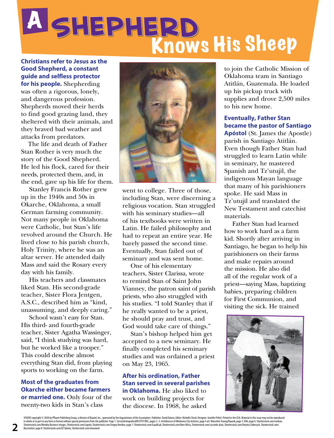# <sup>A</sup> **Shepherd** Knows His Sheep

**Christians refer to Jesus as the Good Shepherd, a constant guide and selfless protector for his people.** Shepherding

was often a rigorous, lonely, and dangerous profession. Shepherds moved their herds to find good grazing land, they sheltered with their animals, and they braved bad weather and attacks from predators.

The life and death of Father Stan Rother is very much the story of the Good Shepherd. He led his flock, cared for their needs, protected them, and, in the end, gave up his life for them.

Stanley Francis Rother grew up in the 1940s and 50s in Okarche, Oklahoma, a small German farming community. Not many people in Oklahoma were Catholic, but Stan's life revolved around the Church. He lived close to his parish church, Holy Trinity, where he was an altar server. He attended daily Mass and said the Rosary every day with his family.

His teachers and classmates liked Stan. His second-grade teacher, Sister Flora Jentgen, A.S.C., described him as "kind, unassuming, and deeply caring."

School wasn't easy for Stan. His third- and fourth-grade teacher, Sister Agatha Wassinger, said, "I think studying was hard, but he worked like a trooper." This could describe almost everything Stan did, from playing sports to working on the farm.

#### **Most of the graduates from Okarche either became farmers or married one.** Only four of the twenty-two kids in Stan's class



went to college. Three of those, including Stan, were discerning a religious vocation. Stan struggled with his seminary studies—all of his textbooks were written in Latin. He failed philosophy and had to repeat an entire year. He barely passed the second time. Eventually, Stan failed out of seminary and was sent home.

One of his elementary teachers, Sister Clarissa, wrote to remind Stan of Saint John Vianney, the patron saint of parish priests, who also struggled with his studies. "I told Stanley that if he really wanted to be a priest, he should pray and trust, and God would take care of things."

Stan's bishop helped him get accepted to a new seminary. He finally completed his seminary studies and was ordained a priest on May 23, 1965.

## **After his ordination, Father Stan served in several parishes in Oklahoma.** He also liked to

work on building projects for the diocese. In 1968, he asked

to join the Catholic Mission of Oklahoma team in Santiago Atitlán, Guatemala. He loaded up his pickup truck with supplies and drove 2,500 miles to his new home.

#### **Eventually, Father Stan became the pastor of Santiago**

**Apóstol** (St. James the Apostle) parish in Santiago Atitlán. Even though Father Stan had struggled to learn Latin while in seminary, he mastered Spanish and Tz'utujil, the indigenous Mayan language that many of his parishioners spoke. He said Mass in Tz'utujil and translated the New Testament and catechist materials.

Father Stan had learned how to work hard as a farm kid. Shortly after arriving in Santiago, he began to help his parishioners on their farms and make repairs around the mission. He also did all of the regular work of a priest—saying Mass, baptizing babies, preparing children for First Communion, and visiting the sick. He trained

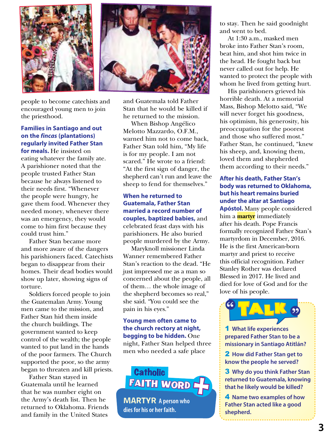

people to become catechists and encouraged young men to join the priesthood.

### **Families in Santiago and out on the** *fincas* **(plantations) regularly invited Father Stan**

**for meals.** He insisted on eating whatever the family ate. A parishioner noted that the people trusted Father Stan because he always listened to their needs first. "Whenever the people were hungry, he gave them food. Whenever they needed money, whenever there was an emergency, they would come to him first because they could trust him."

Father Stan became more and more aware of the dangers his parishioners faced. Catechists began to disappear from their homes. Their dead bodies would show up later, showing signs of torture.

Soldiers forced people to join the Guatemalan Army. Young men came to the mission, and Father Stan hid them inside the church buildings. The government wanted to keep control of the wealth; the people wanted to put land in the hands of the poor farmers. The Church supported the poor, so the army began to threaten and kill priests.

Father Stan stayed in Guatemala until he learned that he was number eight on the Army's death list. Then he returned to Oklahoma. Friends and family in the United States



and Guatemala told Father Stan that he would be killed if he returned to the mission.

When Bishop Angélico Melotto Mazzardo, O.F.M., warned him not to come back, Father Stan told him, "My life is for my people. I am not scared." He wrote to a friend: "At the first sign of danger, the shepherd can't run and leave the sheep to fend for themselves."

#### **When he returned to Guatemala, Father Stan married a record number of couples, baptized babies,** and celebrated feast days with his parishioners. He also buried people murdered by the Army.

Maryknoll missioner Linda Wanner remembered Father Stan's reaction to the dead. "He just impressed me as a man so concerned about the people, all of them… the whole image of the shepherd becomes so real," she said. "You could see the pain in his eyes."

#### **Young men often came to the church rectory at night, begging to be hidden.** One night, Father Stan helped three men who needed a safe place

FAITH WORD **Catholic** 

**MARTYR A person who dies for his or her faith.**

to stay. Then he said goodnight and went to bed.

At 1:30 a.m., masked men broke into Father Stan's room, beat him, and shot him twice in the head. He fought back but never called out for help. He wanted to protect the people with whom he lived from getting hurt.

His parishioners grieved his horrible death. At a memorial Mass, Bishop Melotto said, "We will never forget his goodness, his optimism, his generosity, his preoccupation for the poorest and those who suffered most." Father Stan, he continued, "knew his sheep, and, knowing them, loved them and shepherded them according to their needs."

#### **After his death, Father Stan's body was returned to Oklahoma, but his heart remains buried under the altar at Santiago**

**Apóstol.** Many people considered him a **martyr** immediately after his death. Pope Francis formally recognized Father Stan's martyrdom in December, 2016. He is the first American-born martyr and priest to receive this official recognition. Father Stanley Rother was declared Blessed in 2017. He lived and died for love of God and for the love of his people.



1 **What life experiences prepared Father Stan to be a missionary in Santiago Atitlán?** 

2 **How did Father Stan get to know the people he served?** 

3 **Why do you think Father Stan returned to Guatemala, knowing that he likely would be killed?** 

4 **Name two examples of how Father Stan acted like a good shepherd.**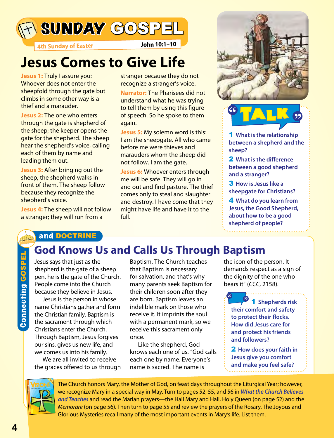

**4th Sunday of Easter John 10:1–10**

## **Jesus Comes to Give Life**

**Jesus 1:** Truly I assure you: Whoever does not enter the sheepfold through the gate but climbs in some other way is a thief and a marauder.

**Jesus 2:** The one who enters through the gate is shepherd of the sheep; the keeper opens the gate for the shepherd. The sheep hear the shepherd's voice, calling each of them by name and leading them out.

**Jesus 3:** After bringing out the sheep, the shepherd walks in front of them. The sheep follow because they recognize the shepherd's voice.

**Jesus 4:** The sheep will not follow a stranger; they will run from a

stranger because they do not recognize a stranger's voice.

**Narrator:** The Pharisees did not understand what he was trying to tell them by using this figure of speech. So he spoke to them again.

**Jesus 5:** My solemn word is this: I am the sheepgate. All who came before me were thieves and marauders whom the sheep did not follow. I am the gate.

**Jesus 6:** Whoever enters through me will be safe. They will go in and out and find pasture. The thief comes only to steal and slaughter and destroy. I have come that they might have life and have it to the full.





1 **What is the relationship between a shepherd and the sheep?** 

2 **What is the difference between a good shepherd and a stranger?** 

3 **How is Jesus like a sheepgate for Christians?** 

4 **What do you learn from Jesus, the Good Shepherd, about how to be a good shepherd of people?**

## and DOCTRINE

## **God Knows Us and Calls Us Through Baptism**

Jesus says that just as the shepherd is the gate of a sheep pen, he is the gate of the Church. People come into the Church because they believe in Jesus.

Jesus is the person in whose name Christians gather and form the Christian family. Baptism is the sacrament through which Christians enter the Church. Through Baptism, Jesus forgives our sins, gives us new life, and welcomes us into his family.

We are all invited to receive the graces offered to us through

Baptism. The Church teaches that Baptism is necessary for salvation, and that's why many parents seek Baptism for their children soon after they are born. Baptism leaves an indelible mark on those who receive it. It imprints the soul with a permanent mark, so we receive this sacrament only once.

Like the shepherd, God knows each one of us. "God calls each one by name. Everyone's name is sacred. The name is

the icon of the person. It demands respect as a sign of the dignity of the one who bears it" (*CCC*, 2158).

1 **Shepherds risk their comfort and safety to protect their flocks. How did Jesus care for and protect his friends and followers? " "**

2 **How does your faith in Jesus give you comfort and make you feel safe?**



The Church honors Mary, the Mother of God, on feast days throughout the Liturgical Year; however, we recognize Mary in a special way in May. Turn to pages 52, 55, and 56 in *What the Church Believes and Teaches* and read the Marian prayers—the Hail Mary and Hail, Holy Queen (on page 52) and the *Memorare* (on page 56). Then turn to page 55 and review the prayers of the Rosary. The Joyous and Glorious Mysteries recall many of the most important events in Mary's life. List them.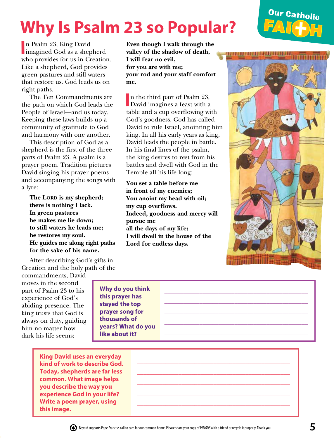# **Why Is Psalm 23 so Popular?**

## Our Catholic **FAI H**

In Psalm 23, King David<br>
imagined God as a shepherd n Psalm 23, King David who provides for us in Creation. Like a shepherd, God provides green pastures and still waters that restore us. God leads us on right paths.

The Ten Commandments are the path on which God leads the People of Israel—and us today. Keeping these laws builds up a community of gratitude to God and harmony with one another.

This description of God as a shepherd is the first of the three parts of Psalm 23. A psalm is a prayer poem. Tradition pictures David singing his prayer poems and accompanying the songs with a lyre:

The LORD is my shepherd; **there is nothing I lack. In green pastures he makes me lie down; to still waters he leads me; he restores my soul. He guides me along right paths for the sake of his name.**

After describing God's gifts in Creation and the holy path of the

commandments, David moves in the second part of Psalm 23 to his experience of God's abiding presence. The king trusts that God is always on duty, guiding him no matter how dark his life seems:

**Why do you think this prayer has stayed the top prayer song for thousands of years? What do you like about it?**

**King David uses an everyday kind of work to describe God. Today, shepherds are far less common. What image helps you describe the way you experience God in your life? Write a poem prayer, using this image.**

**Even though I walk through the valley of the shadow of death, I will fear no evil, for you are with me; your rod and your staff comfort me.**

In the third part of Psalm 23,<br>David imagines a feast with a David imagines a feast with a table and a cup overflowing with God's goodness. God has called David to rule Israel, anointing him king. In all his early years as king, David leads the people in battle. In his final lines of the psalm, the king desires to rest from his battles and dwell with God in the Temple all his life long:

**You set a table before me in front of my enemies; You anoint my head with oil; my cup overflows. Indeed, goodness and mercy will pursue me all the days of my life; I will dwell in the house of the Lord for endless days.**



\_\_\_\_\_\_\_\_\_\_\_\_\_\_\_\_\_\_\_\_\_\_\_\_\_\_\_\_\_\_\_\_\_\_\_\_\_\_\_\_\_\_\_\_\_ \_\_\_\_\_\_\_\_\_\_\_\_\_\_\_\_\_\_\_\_\_\_\_\_\_\_\_\_\_\_\_\_\_\_\_\_\_\_\_\_\_\_\_\_\_

\_\_\_\_\_\_\_\_\_\_\_\_\_\_\_\_\_\_\_\_\_\_\_\_\_\_\_\_\_\_\_\_\_\_\_\_\_\_\_\_\_\_\_\_\_\_\_\_ \_\_\_\_\_\_\_\_\_\_\_\_\_\_\_\_\_\_\_\_\_\_\_\_\_\_\_\_\_\_\_\_\_\_\_\_\_\_\_\_\_\_\_\_\_\_\_\_ \_\_\_\_\_\_\_\_\_\_\_\_\_\_\_\_\_\_\_\_\_\_\_\_\_\_\_\_\_\_\_\_\_\_\_\_\_\_\_\_\_\_\_\_\_\_\_\_ \_\_\_\_\_\_\_\_\_\_\_\_\_\_\_\_\_\_\_\_\_\_\_\_\_\_\_\_\_\_\_\_\_\_\_\_\_\_\_\_\_\_\_\_\_\_\_\_ \_\_\_\_\_\_\_\_\_\_\_\_\_\_\_\_\_\_\_\_\_\_\_\_\_\_\_\_\_\_\_\_\_\_\_\_\_\_\_\_\_\_\_\_\_\_\_\_



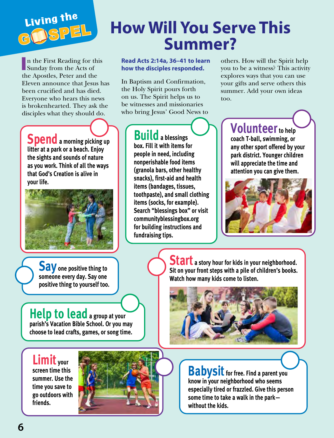

# **How Will You Serve This Summer?**

I Sunday from the Acts of n the First Reading for this the Apostles, Peter and the Eleven announce that Jesus has been crucified and has died. Everyone who hears this news is brokenhearted. They ask the disciples what they should do.

**Spend** a morning picking up **litter at a park or a beach. Enjoy the sights and sounds of nature as you work. Think of all the ways that God's Creation is alive in your life.**



**Say one positive thing to someone every day. Say one positive thing to yourself too.**

**Help to lead** a group at your **parish's Vacation Bible School. Or you may choose to lead crafts, games, or song time.** 

**Limit your screen time this summer. Use the time you save to go outdoors with friends.**



**Read Acts 2:14a, 36–41 to learn how the disciples responded.** 

In Baptism and Confirmation, the Holy Spirit pours forth on us. The Spirit helps us to be witnesses and missionaries who bring Jesus' Good News to

> **Builda blessings box. Fill it with items for people in need, including nonperishable food items (granola bars, other healthy snacks), first-aid and health items (bandages, tissues, toothpaste), and small clothing items (socks, for example). Search "blessings box" or visit communityblessingbox.org for building instructions and fundraising tips.**

others. How will the Spirit help you to be a witness? This activity explores ways that you can use your gifts and serve others this summer. Add your own ideas too.

> **Volunteer** to help **coach T-ball, swimming, or any other sport offered by your park district. Younger children will appreciate the time and attention you can give them.**



**Start a story hour for kids in your neighborhood. Sit on your front steps with a pile of children's books. Watch how many kids come to listen.**



**Babysit** for free. Find a parent you **know in your neighborhood who seems especially tired or frazzled. Give this person some time to take a walk in the park without the kids.**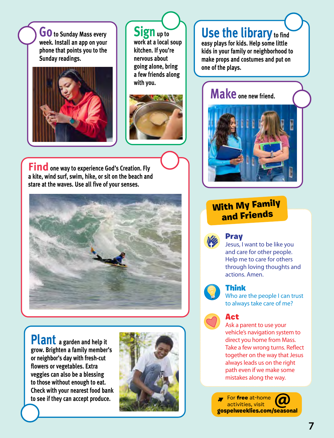**GO** to Sunday Mass every **week. Install an app on your phone that points you to the Sunday readings.**



 $Sign_{up to}$ **work at a local soup kitchen. If you're nervous about going alone, bring a few friends along with you.** 



**Find** one way to experience God's Creation. Fly **a kite, wind surf, swim, hike, or sit on the beach and stare at the waves. Use all five of your senses.** 



**Plant a garden and help it grow. Brighten a family member's or neighbor's day with fresh-cut flowers or vegetables. Extra veggies can also be a blessing to those without enough to eat. Check with your nearest food bank to see if they can accept produce.**



## **Use the library to find**

**easy plays for kids. Help some little kids in your family or neighborhood to make props and costumes and put on one of the plays.**

## **Make one new friend.**



## With My Family and Friends



## Pray

Jesus, I want to be like you and care for other people. Help me to care for others through loving thoughts and actions. Amen.



## Think

Who are the people I can trust to always take care of me?

## Act

Ask a parent to use your vehicle's navigation system to direct you home from Mass. Take a few wrong turns. Reflect together on the way that Jesus always leads us on the right path even if we make some mistakes along the way.

For free at-home activities, visit gospelweeklies.com/seasonal